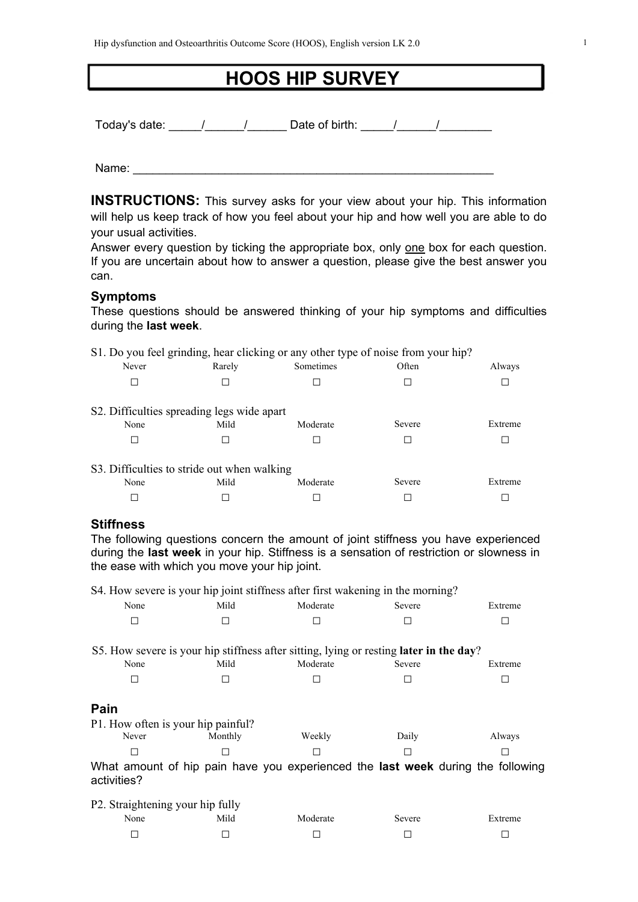# **HOOS HIP SURVEY**

Today's date: The Mate of birth: The Mate of birth: The Mate of birth: The Mate of birth: The Mate of birth: T

Name:  $\blacksquare$ 

**INSTRUCTIONS:** This survey asks for your view about your hip. This information will help us keep track of how you feel about your hip and how well you are able to do your usual activities.

Answer every question by ticking the appropriate box, only one box for each question. If you are uncertain about how to answer a question, please give the best answer you can.

#### **Symptoms**

These questions should be answered thinking of your hip symptoms and difficulties during the **last week**.

|                                             |        | S1. Do you feel grinding, hear clicking or any other type of noise from your hip? |        |         |
|---------------------------------------------|--------|-----------------------------------------------------------------------------------|--------|---------|
| Never                                       | Rarely | Sometimes                                                                         | Often  | Always  |
|                                             |        |                                                                                   |        |         |
| S2. Difficulties spreading legs wide apart  |        |                                                                                   |        |         |
| None                                        | Mild   | Moderate                                                                          | Severe | Extreme |
|                                             |        |                                                                                   |        |         |
| S3. Difficulties to stride out when walking |        |                                                                                   |        |         |
| None                                        | Mild   | Moderate                                                                          | Severe | Extreme |
|                                             |        |                                                                                   |        |         |

## **Stiffness**

The following questions concern the amount of joint stiffness you have experienced during the **last week** in your hip. Stiffness is a sensation of restriction or slowness in the ease with which you move your hip joint.

S4. How severe is your hip joint stiffness after first wakening in the morning?

| None                               | Mild    | Moderate | Severe                                                                                 | Extreme |
|------------------------------------|---------|----------|----------------------------------------------------------------------------------------|---------|
| H                                  | □       |          |                                                                                        |         |
|                                    |         |          |                                                                                        |         |
|                                    |         |          | S5. How severe is your hip stiffness after sitting, lying or resting later in the day? |         |
| None                               | Mild    | Moderate | Severe                                                                                 | Extreme |
| ΙI                                 |         |          |                                                                                        |         |
|                                    |         |          |                                                                                        |         |
| Pain                               |         |          |                                                                                        |         |
| P1. How often is your hip painful? |         |          |                                                                                        |         |
| Never                              | Monthly | Weekly   | Daily                                                                                  | Always  |
| ΙI                                 |         |          |                                                                                        |         |
| activities?                        |         |          | What amount of hip pain have you experienced the last week during the following        |         |
| P2. Straightening your hip fully   |         |          |                                                                                        |         |

| -<br>--<br>None | -<br>Mild | Moderate | Severe | Extreme |
|-----------------|-----------|----------|--------|---------|
|                 |           |          |        | _       |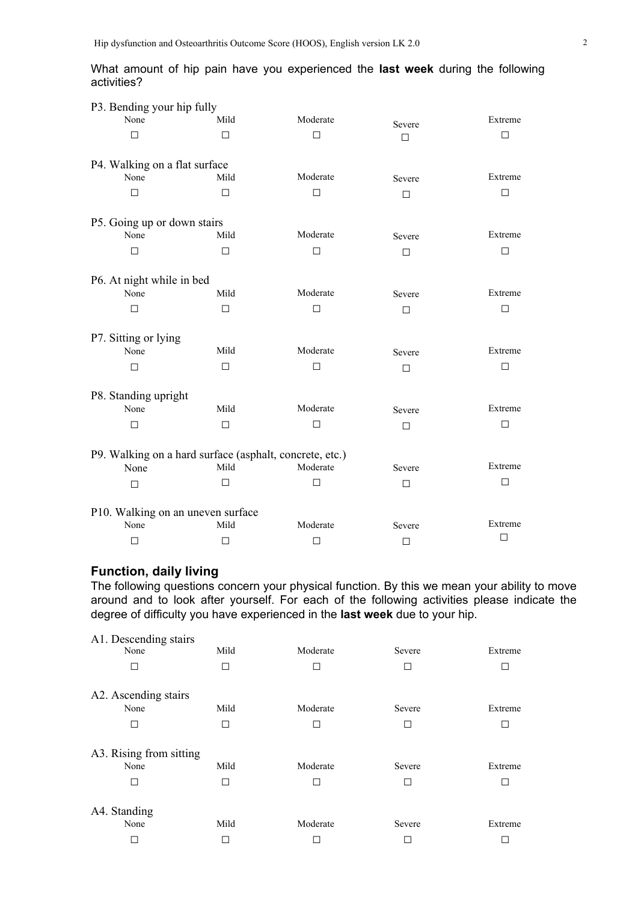|             |  |  | What amount of hip pain have you experienced the last week during the following |  |  |  |
|-------------|--|--|---------------------------------------------------------------------------------|--|--|--|
| activities? |  |  |                                                                                 |  |  |  |

| P3. Bending your hip fully                              |        |          |        |         |
|---------------------------------------------------------|--------|----------|--------|---------|
| None                                                    | Mild   | Moderate | Severe | Extreme |
| П                                                       | П      | □        | $\Box$ | □       |
|                                                         |        |          |        |         |
| P4. Walking on a flat surface                           |        |          |        |         |
| None                                                    | Mild   | Moderate | Severe | Extreme |
| $\Box$                                                  | $\Box$ | □        | $\Box$ | □       |
|                                                         |        |          |        |         |
| P5. Going up or down stairs                             |        |          |        |         |
| None                                                    | Mild   | Moderate | Severe | Extreme |
| □                                                       | $\Box$ | $\Box$   | П      | П       |
|                                                         |        |          |        |         |
| P6. At night while in bed                               |        |          |        |         |
| None                                                    | Mild   | Moderate | Severe | Extreme |
| □                                                       | П      | □        | □      | П       |
|                                                         |        |          |        |         |
| P7. Sitting or lying                                    |        |          |        |         |
| None                                                    | Mild   | Moderate | Severe | Extreme |
| □                                                       | $\Box$ | □        | $\Box$ | □       |
|                                                         |        |          |        |         |
| P8. Standing upright                                    |        |          |        |         |
| None                                                    | Mild   | Moderate | Severe | Extreme |
| □                                                       | $\Box$ | □        | $\Box$ | □       |
|                                                         |        |          |        |         |
| P9. Walking on a hard surface (asphalt, concrete, etc.) |        |          |        |         |
| None                                                    | Mild   | Moderate | Severe | Extreme |
| □                                                       | $\Box$ | □        | □      | $\Box$  |
|                                                         |        |          |        |         |
| P10. Walking on an uneven surface                       |        |          |        |         |
| None                                                    | Mild   | Moderate | Severe | Extreme |
| $\Box$                                                  | $\Box$ | $\Box$   | $\Box$ | $\Box$  |
|                                                         |        |          |        |         |

# **Function, daily living**

The following questions concern your physical function. By this we mean your ability to move around and to look after yourself. For each of the following activities please indicate the degree of difficulty you have experienced in the **last week** due to your hip.

| A1. Descending stairs<br>None        | Mild         | Moderate      | Severe           | Extreme      |
|--------------------------------------|--------------|---------------|------------------|--------------|
| П                                    |              |               | П                | г            |
| A2. Ascending stairs                 |              |               |                  |              |
| None                                 | Mild         | Moderate      | Severe           | Extreme      |
| П                                    | $\mathbf{I}$ | $\Box$        | $\Box$           | $\Box$       |
| A3. Rising from sitting<br>None<br>□ | Mild         | Moderate<br>П | Severe<br>$\Box$ | Extreme<br>г |
| A4. Standing                         |              |               |                  |              |
| None                                 | Mild         | Moderate      | Severe           | Extreme      |
|                                      |              |               |                  |              |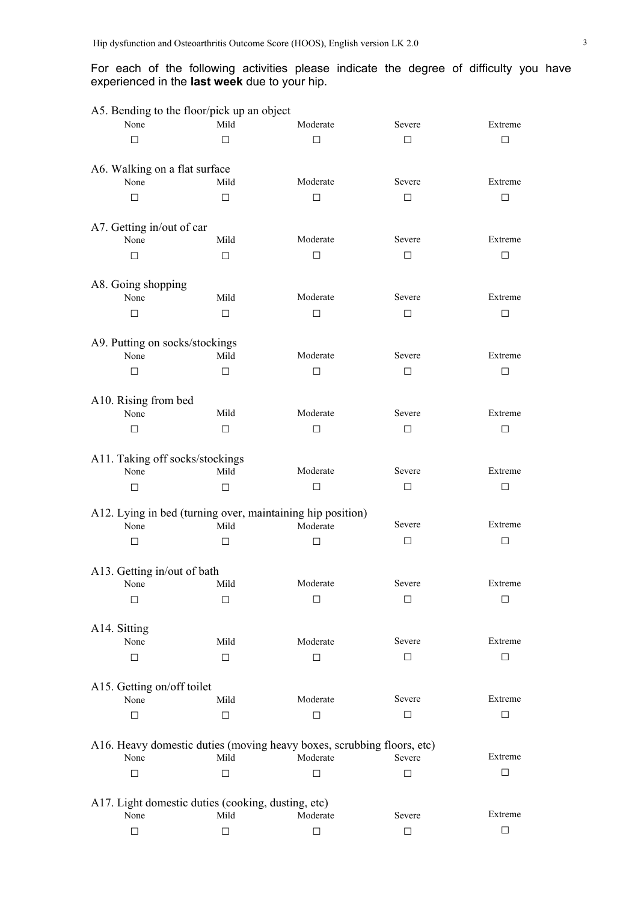### For each of the following activities please indicate the degree of difficulty you have experienced in the **last week** due to your hip.

| A5. Bending to the floor/pick up an object         |        |                                                                                    |        |         |
|----------------------------------------------------|--------|------------------------------------------------------------------------------------|--------|---------|
| None                                               | Mild   | Moderate                                                                           | Severe | Extreme |
| $\Box$                                             | П      | $\Box$                                                                             | $\Box$ | П       |
| A6. Walking on a flat surface                      |        |                                                                                    |        |         |
| None                                               | Mild   | Moderate                                                                           | Severe | Extreme |
| П                                                  | $\Box$ | $\Box$                                                                             | $\Box$ | □       |
|                                                    |        |                                                                                    |        |         |
| A7. Getting in/out of car                          |        |                                                                                    |        |         |
| None                                               | Mild   | Moderate                                                                           | Severe | Extreme |
| П                                                  | $\Box$ | $\Box$                                                                             | $\Box$ | □       |
| A8. Going shopping                                 |        |                                                                                    |        |         |
| None                                               | Mild   | Moderate                                                                           | Severe | Extreme |
| П                                                  | $\Box$ | $\Box$                                                                             | $\Box$ | □       |
|                                                    |        |                                                                                    |        |         |
| A9. Putting on socks/stockings                     |        |                                                                                    |        |         |
| None                                               | Mild   | Moderate                                                                           | Severe | Extreme |
| □                                                  | $\Box$ | $\Box$                                                                             | $\Box$ | □       |
| A10. Rising from bed                               |        |                                                                                    |        |         |
| None                                               | Mild   | Moderate                                                                           | Severe | Extreme |
| □                                                  | $\Box$ | $\Box$                                                                             | $\Box$ | □       |
|                                                    |        |                                                                                    |        |         |
| A11. Taking off socks/stockings<br>None            | Mild   | Moderate                                                                           | Severe | Extreme |
| □                                                  | $\Box$ | $\Box$                                                                             | $\Box$ | □       |
|                                                    |        |                                                                                    |        |         |
|                                                    |        | A12. Lying in bed (turning over, maintaining hip position)                         |        |         |
| None                                               | Mild   | Moderate                                                                           | Severe | Extreme |
| □                                                  | □      | □                                                                                  | $\Box$ | П       |
| A13. Getting in/out of bath                        |        |                                                                                    |        |         |
| None                                               | Mild   | Moderate                                                                           | Severe | Extreme |
| $\Box$                                             | □      | □                                                                                  | □      | □       |
|                                                    |        |                                                                                    |        |         |
| A14. Sitting                                       |        |                                                                                    |        |         |
| None                                               | Mild   | Moderate                                                                           | Severe | Extreme |
| □                                                  | □      | □                                                                                  | □      | П       |
| A15. Getting on/off toilet                         |        |                                                                                    |        |         |
| None                                               | Mild   | Moderate                                                                           | Severe | Extreme |
| □                                                  | $\Box$ | $\Box$                                                                             | $\Box$ | □       |
|                                                    |        |                                                                                    |        |         |
| None                                               | Mild   | A16. Heavy domestic duties (moving heavy boxes, scrubbing floors, etc)<br>Moderate | Severe | Extreme |
| □                                                  | ⊓      | □                                                                                  | □      | П       |
|                                                    |        |                                                                                    |        |         |
| A17. Light domestic duties (cooking, dusting, etc) |        |                                                                                    |        |         |
| None                                               | Mild   | Moderate                                                                           | Severe | Extreme |
| □                                                  | □      | □                                                                                  | $\Box$ | □       |